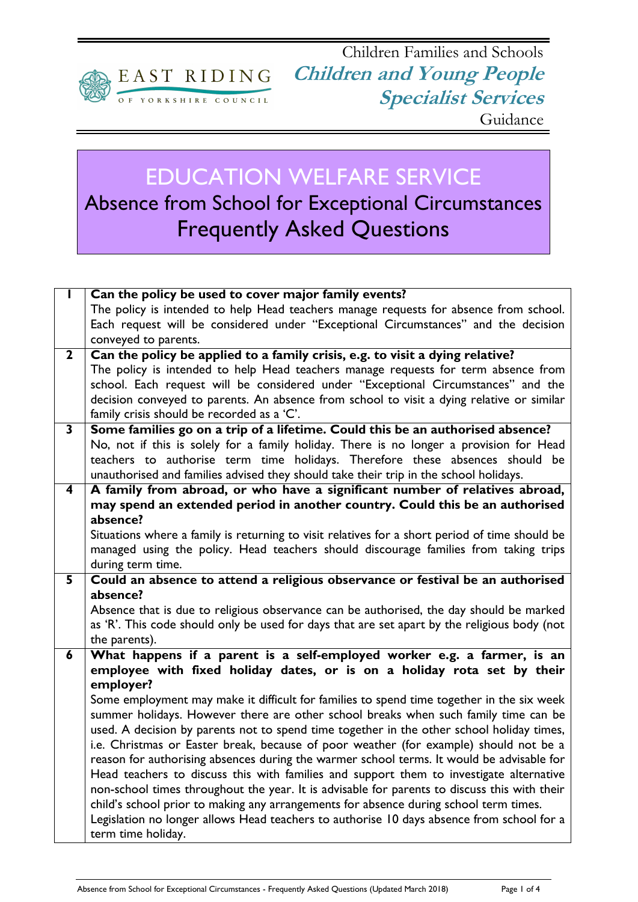

## EDUCATION WELFARE SERVICE Absence from School for Exceptional Circumstances

Frequently Asked Questions

|                         | Can the policy be used to cover major family events?                                                                                                                                  |
|-------------------------|---------------------------------------------------------------------------------------------------------------------------------------------------------------------------------------|
|                         | The policy is intended to help Head teachers manage requests for absence from school.                                                                                                 |
|                         | Each request will be considered under "Exceptional Circumstances" and the decision                                                                                                    |
|                         | conveyed to parents.                                                                                                                                                                  |
| $\mathbf{2}$            | Can the policy be applied to a family crisis, e.g. to visit a dying relative?                                                                                                         |
|                         | The policy is intended to help Head teachers manage requests for term absence from                                                                                                    |
|                         | school. Each request will be considered under "Exceptional Circumstances" and the                                                                                                     |
|                         | decision conveyed to parents. An absence from school to visit a dying relative or similar                                                                                             |
|                         | family crisis should be recorded as a 'C'.                                                                                                                                            |
| 3                       | Some families go on a trip of a lifetime. Could this be an authorised absence?                                                                                                        |
|                         | No, not if this is solely for a family holiday. There is no longer a provision for Head                                                                                               |
|                         | teachers to authorise term time holidays. Therefore these absences should be                                                                                                          |
|                         | unauthorised and families advised they should take their trip in the school holidays.                                                                                                 |
| $\overline{\mathbf{4}}$ | A family from abroad, or who have a significant number of relatives abroad,                                                                                                           |
|                         | may spend an extended period in another country. Could this be an authorised                                                                                                          |
|                         | absence?                                                                                                                                                                              |
|                         | Situations where a family is returning to visit relatives for a short period of time should be                                                                                        |
|                         | managed using the policy. Head teachers should discourage families from taking trips                                                                                                  |
|                         | during term time.                                                                                                                                                                     |
| 5                       | Could an absence to attend a religious observance or festival be an authorised                                                                                                        |
|                         | absence?                                                                                                                                                                              |
|                         | Absence that is due to religious observance can be authorised, the day should be marked                                                                                               |
|                         | as 'R'. This code should only be used for days that are set apart by the religious body (not                                                                                          |
|                         | the parents).                                                                                                                                                                         |
| 6                       | What happens if a parent is a self-employed worker e.g. a farmer, is an                                                                                                               |
|                         | employee with fixed holiday dates, or is on a holiday rota set by their                                                                                                               |
|                         | employer?                                                                                                                                                                             |
|                         | Some employment may make it difficult for families to spend time together in the six week                                                                                             |
|                         | summer holidays. However there are other school breaks when such family time can be                                                                                                   |
|                         | used. A decision by parents not to spend time together in the other school holiday times,                                                                                             |
|                         | i.e. Christmas or Easter break, because of poor weather (for example) should not be a<br>reason for authorising absences during the warmer school terms. It would be advisable for    |
|                         | Head teachers to discuss this with families and support them to investigate alternative                                                                                               |
|                         |                                                                                                                                                                                       |
|                         | non-school times throughout the year. It is advisable for parents to discuss this with their<br>child's school prior to making any arrangements for absence during school term times. |
|                         | Legislation no longer allows Head teachers to authorise 10 days absence from school for a                                                                                             |
|                         | term time holiday.                                                                                                                                                                    |
|                         |                                                                                                                                                                                       |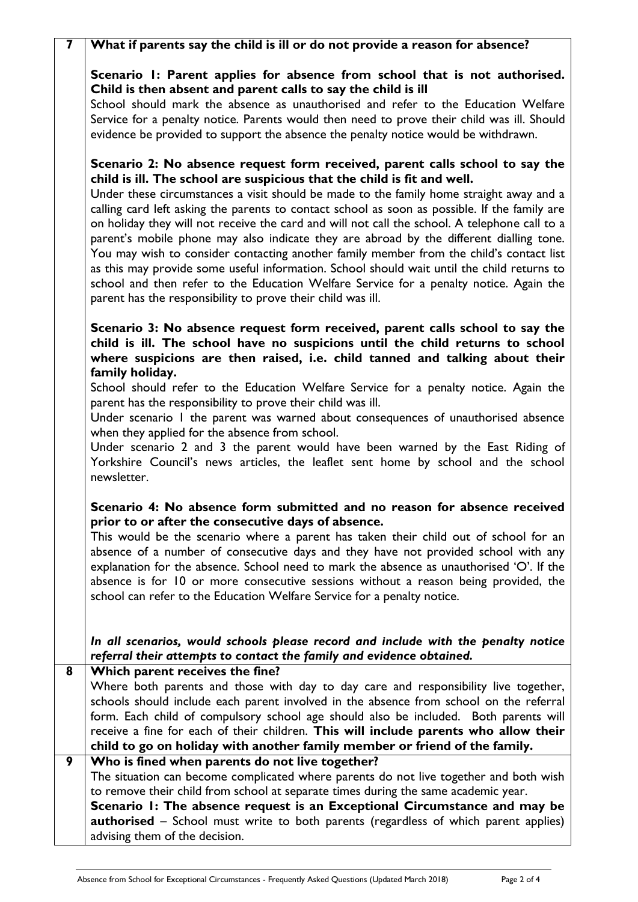| $\overline{\mathbf{z}}$ | What if parents say the child is ill or do not provide a reason for absence?                                                                                                                                                                                                                                                                                                                                                                                                                                                                                                                                                                                                                                                                                                                                                                                                                      |
|-------------------------|---------------------------------------------------------------------------------------------------------------------------------------------------------------------------------------------------------------------------------------------------------------------------------------------------------------------------------------------------------------------------------------------------------------------------------------------------------------------------------------------------------------------------------------------------------------------------------------------------------------------------------------------------------------------------------------------------------------------------------------------------------------------------------------------------------------------------------------------------------------------------------------------------|
|                         | Scenario I: Parent applies for absence from school that is not authorised.<br>Child is then absent and parent calls to say the child is ill<br>School should mark the absence as unauthorised and refer to the Education Welfare                                                                                                                                                                                                                                                                                                                                                                                                                                                                                                                                                                                                                                                                  |
|                         | Service for a penalty notice. Parents would then need to prove their child was ill. Should<br>evidence be provided to support the absence the penalty notice would be withdrawn.                                                                                                                                                                                                                                                                                                                                                                                                                                                                                                                                                                                                                                                                                                                  |
|                         | Scenario 2: No absence request form received, parent calls school to say the<br>child is ill. The school are suspicious that the child is fit and well.<br>Under these circumstances a visit should be made to the family home straight away and a<br>calling card left asking the parents to contact school as soon as possible. If the family are<br>on holiday they will not receive the card and will not call the school. A telephone call to a<br>parent's mobile phone may also indicate they are abroad by the different dialling tone.<br>You may wish to consider contacting another family member from the child's contact list<br>as this may provide some useful information. School should wait until the child returns to<br>school and then refer to the Education Welfare Service for a penalty notice. Again the<br>parent has the responsibility to prove their child was ill. |
|                         | Scenario 3: No absence request form received, parent calls school to say the<br>child is ill. The school have no suspicions until the child returns to school<br>where suspicions are then raised, i.e. child tanned and talking about their<br>family holiday.                                                                                                                                                                                                                                                                                                                                                                                                                                                                                                                                                                                                                                   |
|                         | School should refer to the Education Welfare Service for a penalty notice. Again the<br>parent has the responsibility to prove their child was ill.                                                                                                                                                                                                                                                                                                                                                                                                                                                                                                                                                                                                                                                                                                                                               |
|                         | Under scenario I the parent was warned about consequences of unauthorised absence<br>when they applied for the absence from school.<br>Under scenario 2 and 3 the parent would have been warned by the East Riding of<br>Yorkshire Council's news articles, the leaflet sent home by school and the school<br>newsletter.                                                                                                                                                                                                                                                                                                                                                                                                                                                                                                                                                                         |
|                         | Scenario 4: No absence form submitted and no reason for absence received<br>prior to or after the consecutive days of absence.<br>This would be the scenario where a parent has taken their child out of school for an<br>absence of a number of consecutive days and they have not provided school with any<br>explanation for the absence. School need to mark the absence as unauthorised 'O'. If the<br>absence is for 10 or more consecutive sessions without a reason being provided, the<br>school can refer to the Education Welfare Service for a penalty notice.                                                                                                                                                                                                                                                                                                                        |
|                         | In all scenarios, would schools please record and include with the penalty notice<br>referral their attempts to contact the family and evidence obtained.                                                                                                                                                                                                                                                                                                                                                                                                                                                                                                                                                                                                                                                                                                                                         |
| 8                       | Which parent receives the fine?<br>Where both parents and those with day to day care and responsibility live together,<br>schools should include each parent involved in the absence from school on the referral<br>form. Each child of compulsory school age should also be included. Both parents will<br>receive a fine for each of their children. This will include parents who allow their<br>child to go on holiday with another family member or friend of the family.                                                                                                                                                                                                                                                                                                                                                                                                                    |
| 9                       | Who is fined when parents do not live together?<br>The situation can become complicated where parents do not live together and both wish<br>to remove their child from school at separate times during the same academic year.<br>Scenario I: The absence request is an Exceptional Circumstance and may be<br><b>authorised</b> – School must write to both parents (regardless of which parent applies)<br>advising them of the decision.                                                                                                                                                                                                                                                                                                                                                                                                                                                       |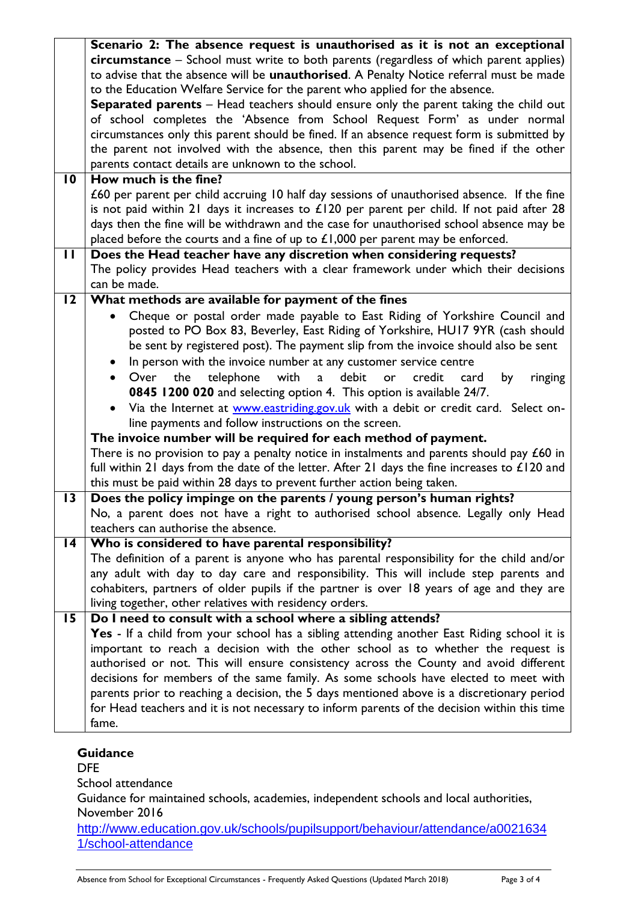|                 | Scenario 2: The absence request is unauthorised as it is not an exceptional                     |
|-----------------|-------------------------------------------------------------------------------------------------|
|                 | circumstance - School must write to both parents (regardless of which parent applies)           |
|                 | to advise that the absence will be unauthorised. A Penalty Notice referral must be made         |
|                 | to the Education Welfare Service for the parent who applied for the absence.                    |
|                 | <b>Separated parents</b> - Head teachers should ensure only the parent taking the child out     |
|                 | of school completes the 'Absence from School Request Form' as under normal                      |
|                 | circumstances only this parent should be fined. If an absence request form is submitted by      |
|                 | the parent not involved with the absence, then this parent may be fined if the other            |
|                 | parents contact details are unknown to the school.                                              |
| $\overline{10}$ | How much is the fine?                                                                           |
|                 | £60 per parent per child accruing 10 half day sessions of unauthorised absence. If the fine     |
|                 | is not paid within 21 days it increases to $£120$ per parent per child. If not paid after 28    |
|                 |                                                                                                 |
|                 | days then the fine will be withdrawn and the case for unauthorised school absence may be        |
|                 | placed before the courts and a fine of up to $£1,000$ per parent may be enforced.               |
| П               | Does the Head teacher have any discretion when considering requests?                            |
|                 | The policy provides Head teachers with a clear framework under which their decisions            |
|                 | can be made.                                                                                    |
| $\overline{2}$  | What methods are available for payment of the fines                                             |
|                 | Cheque or postal order made payable to East Riding of Yorkshire Council and                     |
|                 | posted to PO Box 83, Beverley, East Riding of Yorkshire, HU17 9YR (cash should                  |
|                 | be sent by registered post). The payment slip from the invoice should also be sent              |
|                 | In person with the invoice number at any customer service centre                                |
|                 | with<br>a debit<br>Over the<br>telephone<br>credit<br>or<br>card<br>by<br>ringing<br>$\bullet$  |
|                 | 0845 1200 020 and selecting option 4. This option is available 24/7.                            |
|                 | Via the Internet at www.eastriding.gov.uk with a debit or credit card. Select on-<br>$\bullet$  |
|                 | line payments and follow instructions on the screen.                                            |
|                 | The invoice number will be required for each method of payment.                                 |
|                 | There is no provision to pay a penalty notice in instalments and parents should pay $£60$ in    |
|                 | full within 21 days from the date of the letter. After 21 days the fine increases to $£120$ and |
|                 | this must be paid within 28 days to prevent further action being taken.                         |
| $\overline{13}$ | Does the policy impinge on the parents / young person's human rights?                           |
|                 | No, a parent does not have a right to authorised school absence. Legally only Head              |
|                 | teachers can authorise the absence.                                                             |
| 14              | Who is considered to have parental responsibility?                                              |
|                 | The definition of a parent is anyone who has parental responsibility for the child and/or       |
|                 | any adult with day to day care and responsibility. This will include step parents and           |
|                 |                                                                                                 |
|                 | cohabiters, partners of older pupils if the partner is over 18 years of age and they are        |
|                 | living together, other relatives with residency orders.                                         |
| 15              | Do I need to consult with a school where a sibling attends?                                     |
|                 | Yes - If a child from your school has a sibling attending another East Riding school it is      |
|                 | important to reach a decision with the other school as to whether the request is                |
|                 | authorised or not. This will ensure consistency across the County and avoid different           |
|                 | decisions for members of the same family. As some schools have elected to meet with             |
|                 | parents prior to reaching a decision, the 5 days mentioned above is a discretionary period      |
|                 | for Head teachers and it is not necessary to inform parents of the decision within this time    |
|                 | fame.                                                                                           |
|                 |                                                                                                 |

## **Guidance**

DFE School attendance

Guidance for maintained schools, academies, independent schools and local authorities, November 2016

[http://www.education.gov.uk/schools/pupilsupport/behaviour/attendance/a0021634](http://www.education.gov.uk/schools/pupilsupport/behaviour/attendance/a00216341/school-attendance) [1/school-attendance](http://www.education.gov.uk/schools/pupilsupport/behaviour/attendance/a00216341/school-attendance)